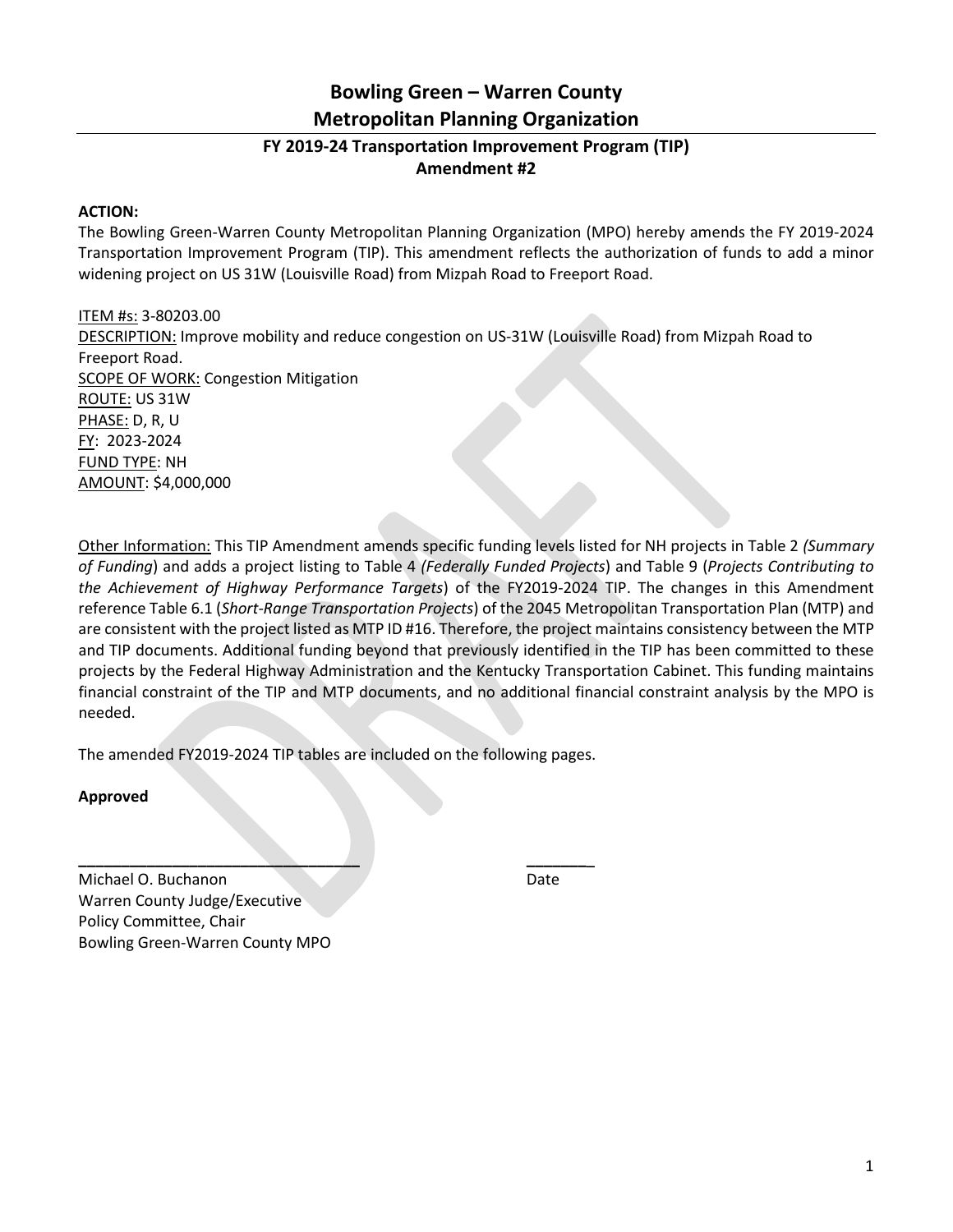### **Bowling Green – Warren County Metropolitan Planning Organization**

### **FY 2019-24 Transportation Improvement Program (TIP) Amendment #2**

#### **ACTION:**

The Bowling Green-Warren County Metropolitan Planning Organization (MPO) hereby amends the FY 2019-2024 Transportation Improvement Program (TIP). This amendment reflects the authorization of funds to add a minor widening project on US 31W (Louisville Road) from Mizpah Road to Freeport Road.

ITEM #s: 3-80203.00 DESCRIPTION: Improve mobility and reduce congestion on US-31W (Louisville Road) from Mizpah Road to Freeport Road. SCOPE OF WORK: Congestion Mitigation ROUTE: US 31W PHASE: D, R, U FY: 2023-2024 FUND TYPE: NH AMOUNT: \$4,000,000

Other Information: This TIP Amendment amends specific funding levels listed for NH projects in Table 2 *(Summary of Funding*) and adds a project listing to Table 4 *(Federally Funded Projects*) and Table 9 (*Projects Contributing to the Achievement of Highway Performance Targets*) of the FY2019-2024 TIP. The changes in this Amendment reference Table 6.1 (*Short-Range Transportation Projects*) of the 2045 Metropolitan Transportation Plan (MTP) and are consistent with the project listed as MTP ID #16. Therefore, the project maintains consistency between the MTP and TIP documents. Additional funding beyond that previously identified in the TIP has been committed to these projects by the Federal Highway Administration and the Kentucky Transportation Cabinet. This funding maintains financial constraint of the TIP and MTP documents, and no additional financial constraint analysis by the MPO is needed.

The amended FY2019-2024 TIP tables are included on the following pages.

**\_\_\_\_\_\_\_\_\_\_\_\_\_\_\_\_\_\_\_\_\_\_\_\_\_\_\_\_\_\_\_\_\_ \_\_\_\_\_\_\_**\_

**Approved**

Michael O. Buchanon Date Warren County Judge/Executive Policy Committee, Chair Bowling Green-Warren County MPO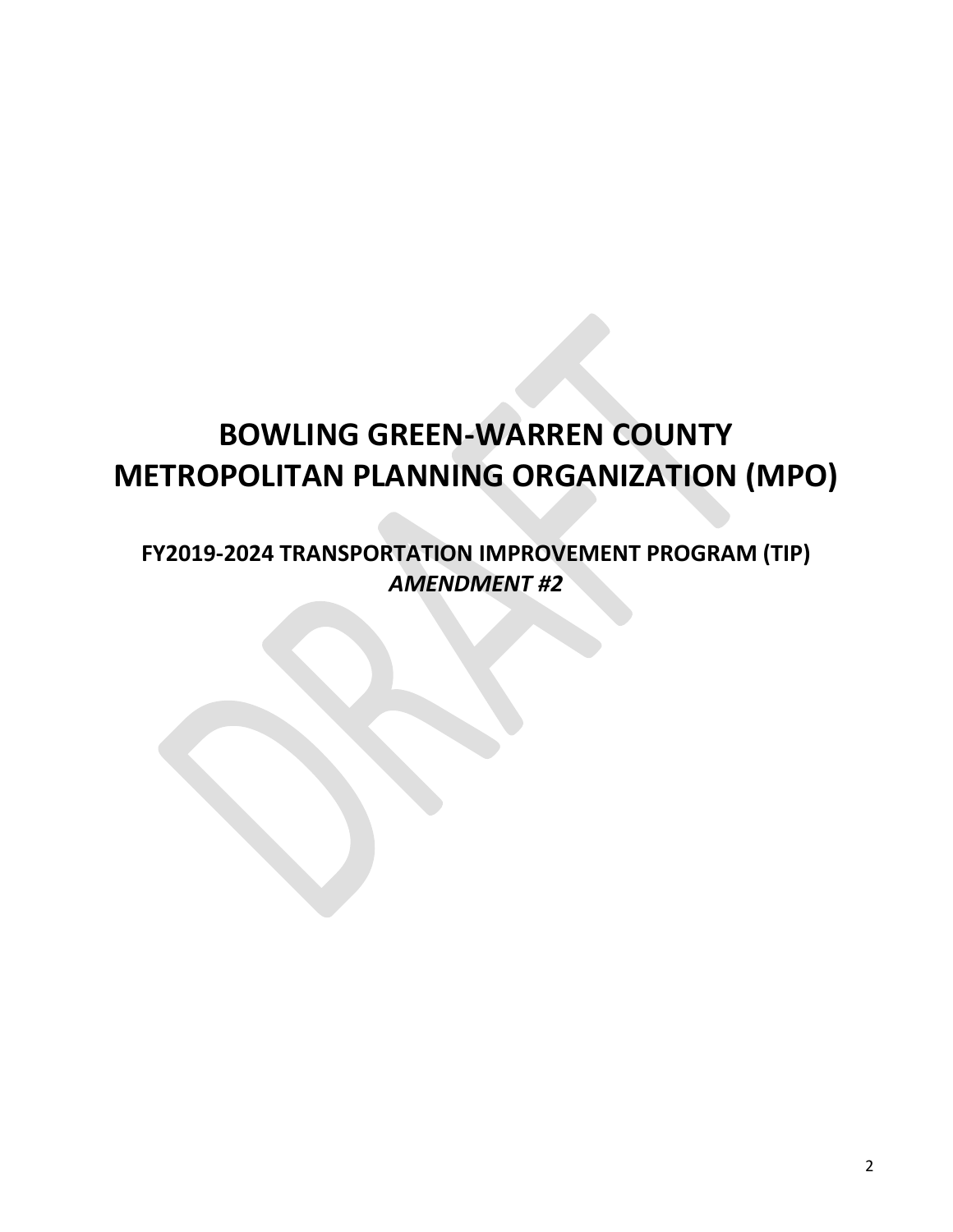# **BOWLING GREEN-WARREN COUNTY METROPOLITAN PLANNING ORGANIZATION (MPO)**

**FY2019-2024 TRANSPORTATION IMPROVEMENT PROGRAM (TIP)** *AMENDMENT #2*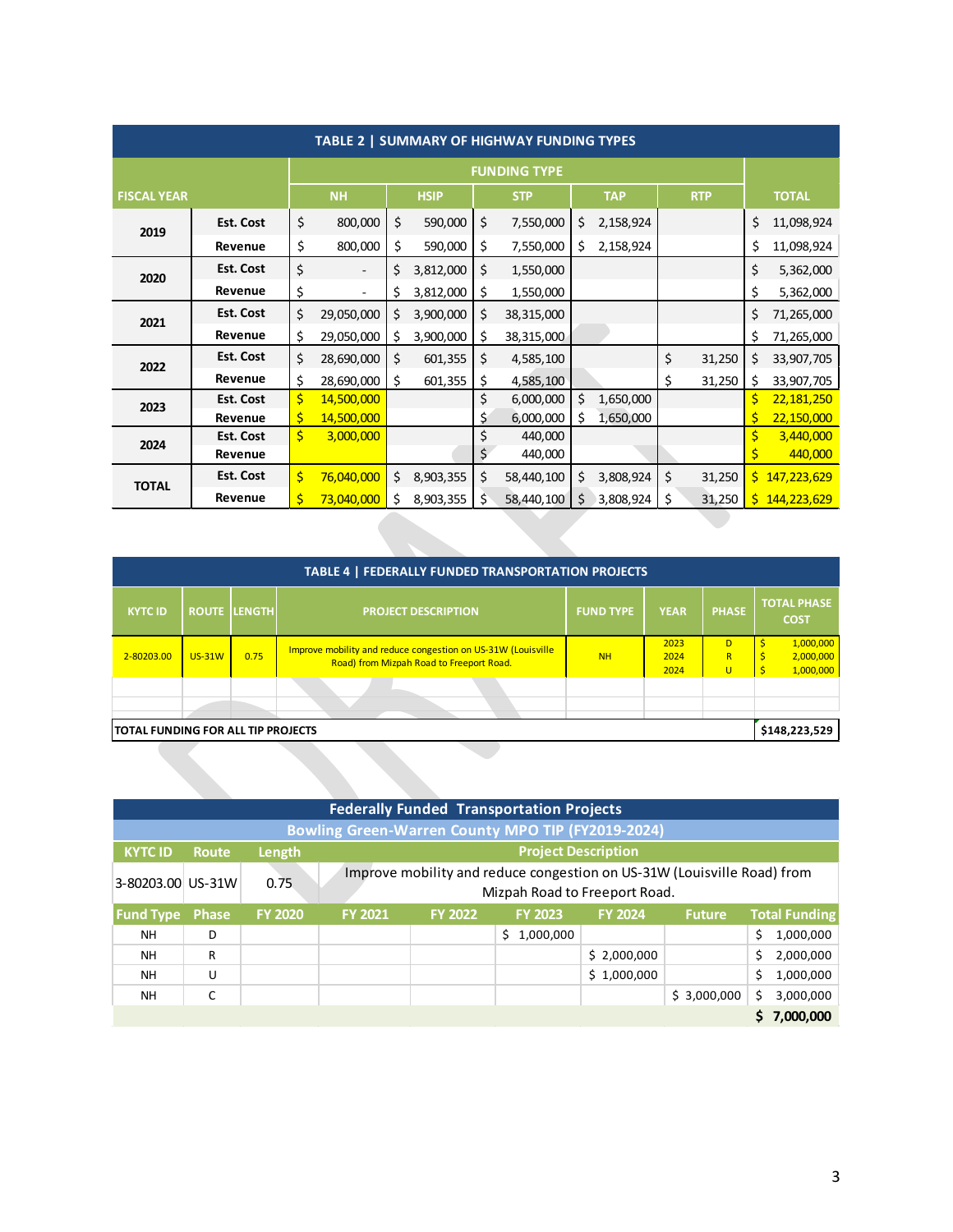| TABLE 2   SUMMARY OF HIGHWAY FUNDING TYPES |                     |    |                |    |             |    |            |    |            |    |            |    |               |
|--------------------------------------------|---------------------|----|----------------|----|-------------|----|------------|----|------------|----|------------|----|---------------|
|                                            | <b>FUNDING TYPE</b> |    |                |    |             |    |            |    |            |    |            |    |               |
| <b>FISCAL YEAR</b>                         |                     |    | <b>NH</b>      |    | <b>HSIP</b> |    | <b>STP</b> |    | <b>TAP</b> |    | <b>RTP</b> |    | <b>TOTAL</b>  |
| 2019                                       | <b>Est. Cost</b>    | \$ | 800,000        | \$ | 590,000     | \$ | 7,550,000  | \$ | 2,158,924  |    |            | \$ | 11,098,924    |
|                                            | Revenue             | \$ | 800,000        | \$ | 590,000     | \$ | 7,550,000  | \$ | 2,158,924  |    |            | \$ | 11,098,924    |
| 2020                                       | <b>Est. Cost</b>    | \$ |                | \$ | 3,812,000   | \$ | 1,550,000  |    |            |    |            | \$ | 5,362,000     |
|                                            | Revenue             | \$ | $\blacksquare$ | \$ | 3,812,000   | \$ | 1,550,000  |    |            |    |            | \$ | 5,362,000     |
| 2021                                       | Est. Cost           | \$ | 29,050,000     | \$ | 3,900,000   | \$ | 38,315,000 |    |            |    |            | \$ | 71,265,000    |
|                                            | Revenue             | \$ | 29,050,000     | \$ | 3,900,000   | \$ | 38,315,000 |    |            |    |            | \$ | 71,265,000    |
| 2022                                       | <b>Est. Cost</b>    | \$ | 28,690,000     | \$ | 601,355     | \$ | 4,585,100  |    |            | \$ | 31,250     | \$ | 33,907,705    |
|                                            | Revenue             | \$ | 28,690,000     | \$ | 601,355     | \$ | 4,585,100  |    |            | \$ | 31,250     | \$ | 33,907,705    |
| 2023                                       | <b>Est. Cost</b>    | \$ | 14,500,000     |    |             | \$ | 6,000,000  | \$ | 1,650,000  |    |            | \$ | 22,181,250    |
|                                            | Revenue             | \$ | 14,500,000     |    |             | \$ | 6,000,000  | \$ | 1,650,000  |    |            | \$ | 22,150,000    |
| 2024                                       | <b>Est. Cost</b>    | \$ | 3,000,000      |    |             | \$ | 440,000    |    |            |    |            | \$ | 3,440,000     |
|                                            | Revenue             |    |                |    |             | \$ | 440,000    |    |            |    |            | \$ | 440,000       |
| <b>TOTAL</b>                               | Est. Cost           | \$ | 76,040,000     | \$ | 8,903,355   | \$ | 58,440,100 | \$ | 3,808,924  | \$ | 31,250     |    | \$147,223,629 |
|                                            | Revenue             | \$ | 73,040,000     | \$ | 8,903,355   | \$ | 58,440,100 | Ś  | 3,808,924  | \$ | 31,250     | S. | 144,223,629   |
|                                            |                     |    |                |    |             |    |            |    |            |    |            |    |               |
|                                            |                     |    |                |    |             |    |            |    |            |    |            |    |               |

| TABLE 4   FEDERALLY FUNDED TRANSPORTATION PROJECTS  |               |                     |                                                                                                          |                  |                      |                  |                                          |  |  |
|-----------------------------------------------------|---------------|---------------------|----------------------------------------------------------------------------------------------------------|------------------|----------------------|------------------|------------------------------------------|--|--|
| <b>KYTC ID</b>                                      |               | <b>ROUTE LENGTH</b> | <b>PROJECT DESCRIPTION</b>                                                                               | <b>FUND TYPE</b> | <b>YEAR</b>          | <b>PHASE</b>     | <b>TOTAL PHASE</b><br><b>COST</b>        |  |  |
| 2-80203.00                                          | <b>US-31W</b> | 0.75                | Improve mobility and reduce congestion on US-31W (Louisville<br>Road) from Mizpah Road to Freeport Road. | <b>NH</b>        | 2023<br>2024<br>2024 | D<br>R<br>$\cup$ | Ś<br>1,000,000<br>2,000,000<br>1,000,000 |  |  |
|                                                     |               |                     |                                                                                                          |                  |                      |                  |                                          |  |  |
| TOTAL FUNDING FOR ALL TIP PROJECTS<br>\$148,223,529 |               |                     |                                                                                                          |                  |                      |                  |                                          |  |  |
|                                                     |               |                     |                                                                                                          |                  |                      |                  |                                          |  |  |

| <b>Federally Funded Transportation Projects</b>          |              |                |                                                                                                          |                |                 |                |               |    |                      |  |
|----------------------------------------------------------|--------------|----------------|----------------------------------------------------------------------------------------------------------|----------------|-----------------|----------------|---------------|----|----------------------|--|
| <b>Bowling Green-Warren County MPO TIP (FY2019-2024)</b> |              |                |                                                                                                          |                |                 |                |               |    |                      |  |
| <b>KYTC ID</b>                                           | <b>Route</b> | Length         | <b>Project Description</b>                                                                               |                |                 |                |               |    |                      |  |
| 3-80203.00 US-31W                                        |              | 0.75           | Improve mobility and reduce congestion on US-31W (Louisville Road) from<br>Mizpah Road to Freeport Road. |                |                 |                |               |    |                      |  |
| <b>Fund Type</b>                                         | <b>Phase</b> | <b>FY 2020</b> | <b>FY 2021</b>                                                                                           | <b>FY 2022</b> | <b>FY 2023</b>  | <b>FY 2024</b> | <b>Future</b> |    | <b>Total Funding</b> |  |
| <b>NH</b>                                                | D            |                |                                                                                                          |                | 1,000,000<br>Ŝ. |                |               | \$ | 1,000,000            |  |
| <b>NH</b>                                                | R            |                |                                                                                                          |                |                 | \$2,000,000    |               | \$ | 2,000,000            |  |
| <b>NH</b>                                                | U            |                |                                                                                                          |                |                 | \$1,000,000    |               | \$ | 1,000,000            |  |
| <b>NH</b>                                                | C            |                |                                                                                                          |                |                 |                | \$3,000,000   | Ś  | 3,000,000            |  |
|                                                          |              |                |                                                                                                          |                |                 |                |               |    | 7,000,000            |  |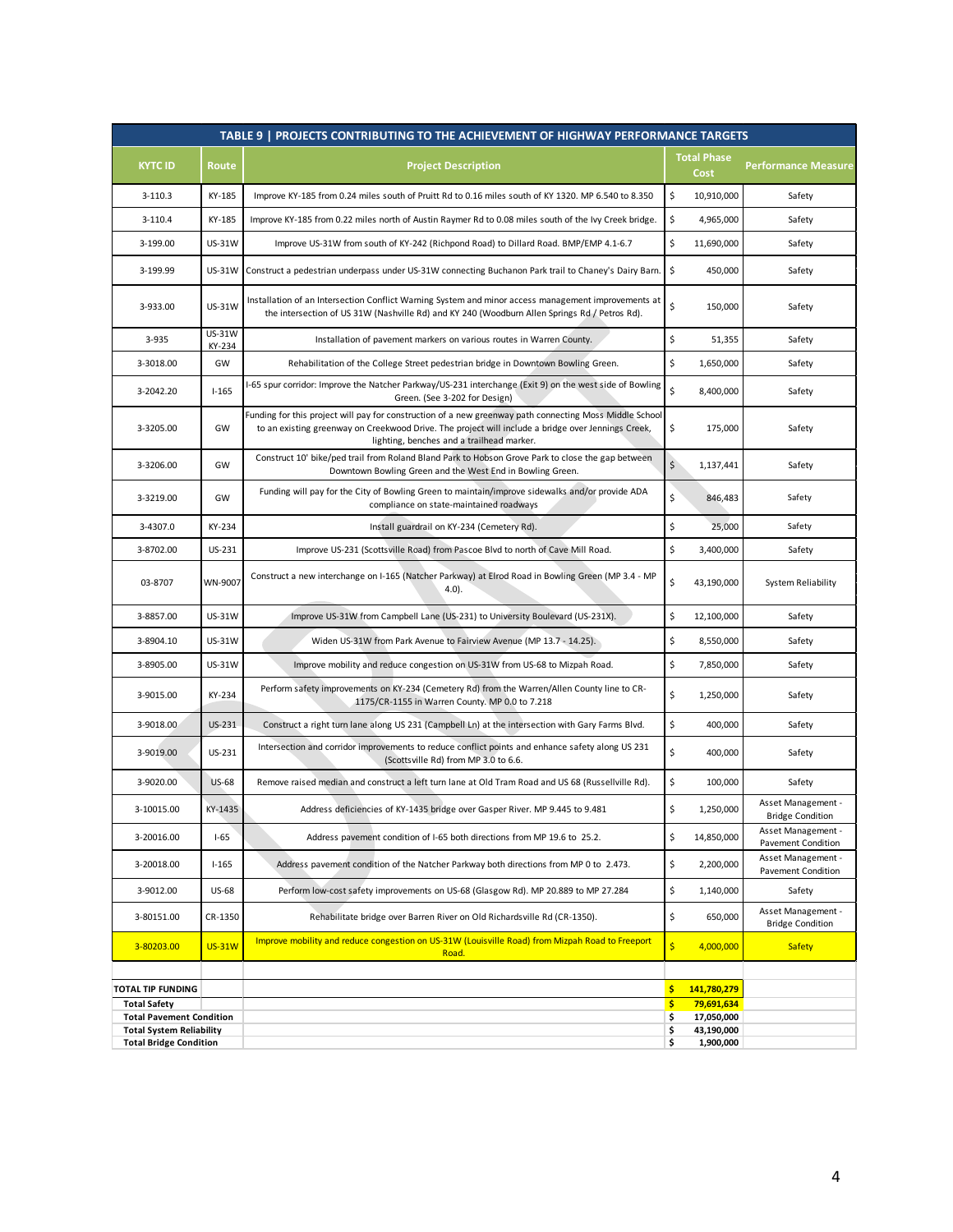|                                                                  |                         | TABLE 9   PROJECTS CONTRIBUTING TO THE ACHIEVEMENT OF HIGHWAY PERFORMANCE TARGETS                                                                                                                                                                          |                                      |                                                 |
|------------------------------------------------------------------|-------------------------|------------------------------------------------------------------------------------------------------------------------------------------------------------------------------------------------------------------------------------------------------------|--------------------------------------|-------------------------------------------------|
| <b>KYTC ID</b>                                                   | Route                   | <b>Project Description</b>                                                                                                                                                                                                                                 | <b>Total Phase</b><br>Cost           | <b>Performance Measure</b>                      |
| $3-110.3$                                                        | KY-185                  | Improve KY-185 from 0.24 miles south of Pruitt Rd to 0.16 miles south of KY 1320. MP 6.540 to 8.350                                                                                                                                                        | \$<br>10,910,000                     | Safety                                          |
| $3-110.4$                                                        | KY-185                  | Improve KY-185 from 0.22 miles north of Austin Raymer Rd to 0.08 miles south of the Ivy Creek bridge.                                                                                                                                                      | \$<br>4,965,000                      | Safety                                          |
| 3-199.00                                                         | <b>US-31W</b>           | Improve US-31W from south of KY-242 (Richpond Road) to Dillard Road. BMP/EMP 4.1-6.7                                                                                                                                                                       | \$<br>11,690,000                     | Safety                                          |
| 3-199.99                                                         | <b>US-31W</b>           | Construct a pedestrian underpass under US-31W connecting Buchanon Park trail to Chaney's Dairy Barn.                                                                                                                                                       | \$<br>450,000                        | Safety                                          |
| 3-933.00                                                         | <b>US-31W</b>           | Installation of an Intersection Conflict Warning System and minor access management improvements at<br>the intersection of US 31W (Nashville Rd) and KY 240 (Woodburn Allen Springs Rd / Petros Rd).                                                       | \$<br>150,000                        | Safety                                          |
| 3-935                                                            | <b>US-31W</b><br>KY-234 | Installation of pavement markers on various routes in Warren County.                                                                                                                                                                                       | \$<br>51,355                         | Safety                                          |
| 3-3018.00                                                        | GW                      | Rehabilitation of the College Street pedestrian bridge in Downtown Bowling Green.                                                                                                                                                                          | \$<br>1,650,000                      | Safety                                          |
| 3-2042.20                                                        | $1 - 165$               | I-65 spur corridor: Improve the Natcher Parkway/US-231 interchange (Exit 9) on the west side of Bowling<br>Green. (See 3-202 for Design)                                                                                                                   | \$<br>8,400,000                      | Safety                                          |
| 3-3205.00                                                        | GW                      | Funding for this project will pay for construction of a new greenway path connecting Moss Middle School<br>to an existing greenway on Creekwood Drive. The project will include a bridge over Jennings Creek,<br>lighting, benches and a trailhead marker. | \$<br>175,000                        | Safety                                          |
| 3-3206.00                                                        | GW                      | Construct 10' bike/ped trail from Roland Bland Park to Hobson Grove Park to close the gap between<br>Downtown Bowling Green and the West End in Bowling Green.                                                                                             | $\zeta$<br>1,137,441                 | Safety                                          |
| 3-3219.00                                                        | GW                      | Funding will pay for the City of Bowling Green to maintain/improve sidewalks and/or provide ADA<br>compliance on state-maintained roadways                                                                                                                 | \$<br>846,483                        | Safety                                          |
| 3-4307.0                                                         | KY-234                  | Install guardrail on KY-234 (Cemetery Rd).                                                                                                                                                                                                                 | \$<br>25,000                         | Safety                                          |
| 3-8702.00                                                        | US-231                  | Improve US-231 (Scottsville Road) from Pascoe Blvd to north of Cave Mill Road.                                                                                                                                                                             | \$<br>3,400,000                      | Safety                                          |
| 03-8707                                                          | WN-9007                 | Construct a new interchange on I-165 (Natcher Parkway) at Elrod Road in Bowling Green (MP 3.4 - MP<br>$4.0$ ).                                                                                                                                             | \$<br>43,190,000                     | <b>System Reliability</b>                       |
| 3-8857.00                                                        | <b>US-31W</b>           | Improve US-31W from Campbell Lane (US-231) to University Boulevard (US-231X).                                                                                                                                                                              | \$<br>12,100,000                     | Safety                                          |
| 3-8904.10                                                        | <b>US-31W</b>           | Widen US-31W from Park Avenue to Fairview Avenue (MP 13.7 - 14.25).                                                                                                                                                                                        | \$<br>8,550,000                      | Safety                                          |
| 3-8905.00                                                        | <b>US-31W</b>           | Improve mobility and reduce congestion on US-31W from US-68 to Mizpah Road.                                                                                                                                                                                | \$<br>7,850,000                      | Safety                                          |
| 3-9015.00                                                        | KY-234                  | Perform safety improvements on KY-234 (Cemetery Rd) from the Warren/Allen County line to CR-<br>1175/CR-1155 in Warren County. MP 0.0 to 7.218                                                                                                             | \$<br>1,250,000                      | Safety                                          |
| 3-9018.00                                                        | US-231                  | Construct a right turn lane along US 231 (Campbell Ln) at the intersection with Gary Farms Blvd.                                                                                                                                                           | \$<br>400,000                        | Safety                                          |
| 3-9019.00                                                        | US-231                  | Intersection and corridor improvements to reduce conflict points and enhance safety along US 231<br>(Scottsville Rd) from MP 3.0 to 6.6.                                                                                                                   | \$<br>400,000                        | Safety                                          |
| 3-9020.00                                                        | <b>US-68</b>            | Remove raised median and construct a left turn lane at Old Tram Road and US 68 (Russellville Rd).                                                                                                                                                          | \$<br>100,000                        | Safety                                          |
| 3-10015.00                                                       | KY-1435                 | Address deficiencies of KY-1435 bridge over Gasper River. MP 9.445 to 9.481                                                                                                                                                                                | \$<br>1,250,000                      | Asset Management -<br><b>Bridge Condition</b>   |
| 3-20016.00                                                       | $1-65$                  | Address pavement condition of I-65 both directions from MP 19.6 to 25.2.                                                                                                                                                                                   | \$<br>14,850,000                     | Asset Management -<br><b>Pavement Condition</b> |
| 3-20018.00                                                       | $1 - 165$               | Address pavement condition of the Natcher Parkway both directions from MP 0 to 2.473.                                                                                                                                                                      | \$<br>2,200,000                      | Asset Management -<br><b>Pavement Condition</b> |
| 3-9012.00                                                        | US-68                   | Perform low-cost safety improvements on US-68 (Glasgow Rd). MP 20.889 to MP 27.284                                                                                                                                                                         | \$<br>1,140,000                      | Safety                                          |
| 3-80151.00                                                       | CR-1350                 | Rehabilitate bridge over Barren River on Old Richardsville Rd (CR-1350).                                                                                                                                                                                   | \$<br>650,000                        | Asset Management -<br><b>Bridge Condition</b>   |
| 3-80203.00                                                       | <b>US-31W</b>           | Improve mobility and reduce congestion on US-31W (Louisville Road) from Mizpah Road to Freeport<br>Road.                                                                                                                                                   | $\overline{\mathsf{S}}$<br>4,000,000 | <b>Safety</b>                                   |
| <b>TOTAL TIP FUNDING</b>                                         |                         |                                                                                                                                                                                                                                                            | \$<br>141,780,279                    |                                                 |
| <b>Total Safety</b>                                              |                         |                                                                                                                                                                                                                                                            | \$<br>79,691,634                     |                                                 |
| <b>Total Pavement Condition</b>                                  |                         |                                                                                                                                                                                                                                                            | \$<br>17,050,000                     |                                                 |
| <b>Total System Reliability</b><br><b>Total Bridge Condition</b> |                         |                                                                                                                                                                                                                                                            | 43,190,000<br>\$<br>\$<br>1,900,000  |                                                 |
|                                                                  |                         |                                                                                                                                                                                                                                                            |                                      |                                                 |